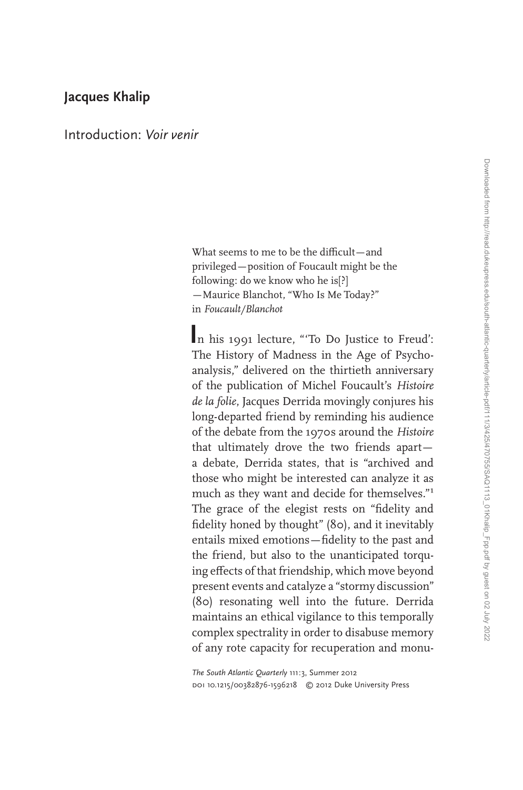## **Jacques Khalip**

Introduction: *Voir venir*

What seems to me to be the difficult—and privileged—position of Foucault might be the following: do we know who he is[?] —Maurice Blanchot, "Who Is Me Today?" in *Foucault/Blanchot*

**I**n his 1991 lecture, "'To Do Justice to Freud': The History of Madness in the Age of Psychoanalysis," delivered on the thirtieth anniversary of the publication of Michel Foucault's *Histoire de la folie*, Jacques Derrida movingly conjures his long-departed friend by reminding his audience of the debate from the 1970s around the *Histoire* that ultimately drove the two friends apart a debate, Derrida states, that is "archived and those who might be interested can analyze it as much as they want and decide for themselves."1 The grace of the elegist rests on "fidelity and fidelity honed by thought" (80), and it inevitably entails mixed emotions—fidelity to the past and the friend, but also to the unanticipated torquing effects of that friendship, which move beyond present events and catalyze a "stormy discussion" (80) resonating well into the future. Derrida maintains an ethical vigilance to this temporally complex spectrality in order to disabuse memory of any rote capacity for recuperation and monu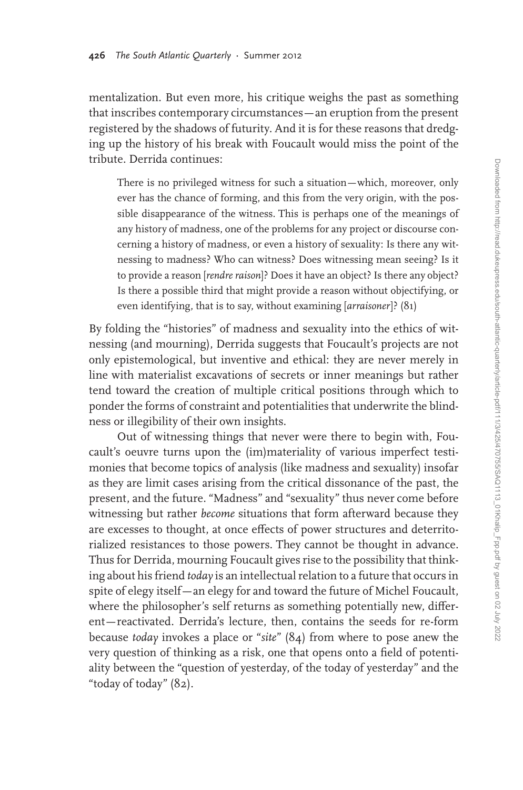mentalization. But even more, his critique weighs the past as something that inscribes contemporary circumstances—an eruption from the present registered by the shadows of futurity. And it is for these reasons that dredging up the history of his break with Foucault would miss the point of the tribute. Derrida continues:

There is no privileged witness for such a situation—which, moreover, only ever has the chance of forming, and this from the very origin, with the possible disappearance of the witness. This is perhaps one of the meanings of any history of madness, one of the problems for any project or discourse concerning a history of madness, or even a history of sexuality: Is there any witnessing to madness? Who can witness? Does witnessing mean seeing? Is it to provide a reason [*rendre raison*]? Does it have an object? Is there any object? Is there a possible third that might provide a reason without objectifying, or even identifying, that is to say, without examining [*arraisoner*]? (81)

By folding the "histories" of madness and sexuality into the ethics of witnessing (and mourning), Derrida suggests that Foucault's projects are not only epistemological, but inventive and ethical: they are never merely in line with materialist excavations of secrets or inner meanings but rather tend toward the creation of multiple critical positions through which to ponder the forms of constraint and potentialities that underwrite the blindness or illegibility of their own insights.

Out of witnessing things that never were there to begin with, Foucault's oeuvre turns upon the (im)materiality of various imperfect testimonies that become topics of analysis (like madness and sexuality) insofar as they are limit cases arising from the critical dissonance of the past, the present, and the future. "Madness" and "sexuality" thus never come before witnessing but rather *become* situations that form afterward because they are excesses to thought, at once effects of power structures and deterritorialized resistances to those powers. They cannot be thought in advance. Thus for Derrida, mourning Foucault gives rise to the possibility that thinking about his friend *today* is an intellectual relation to a future that occurs in spite of elegy itself—an elegy for and toward the future of Michel Foucault, where the philosopher's self returns as something potentially new, different—reactivated. Derrida's lecture, then, contains the seeds for re-form because *today* invokes a place or "*site*" (84) from where to pose anew the very question of thinking as a risk, one that opens onto a field of potentiality between the "question of yesterday, of the today of yesterday" and the "today of today" (82).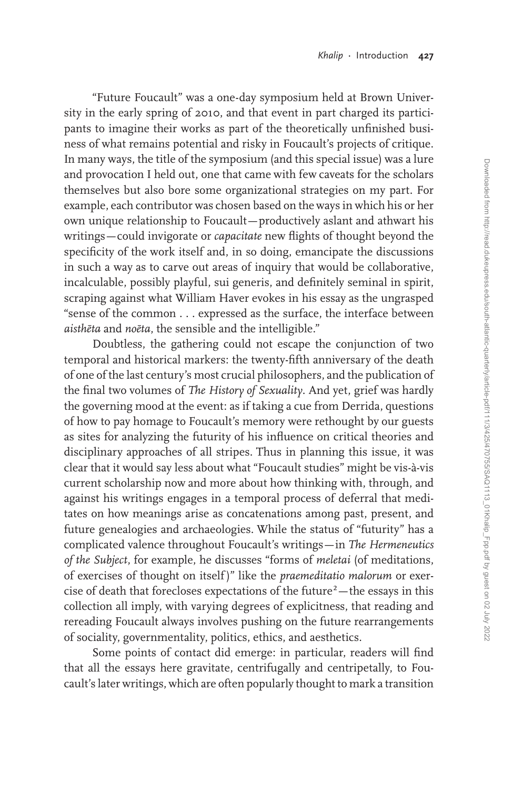"Future Foucault" was a one-day symposium held at Brown University in the early spring of 2010, and that event in part charged its participants to imagine their works as part of the theoretically unfinished business of what remains potential and risky in Foucault's projects of critique. In many ways, the title of the symposium (and this special issue) was a lure and provocation I held out, one that came with few caveats for the scholars themselves but also bore some organizational strategies on my part. For example, each contributor was chosen based on the ways in which his or her own unique relationship to Foucault—productively aslant and athwart his writings—could invigorate or *capacitate* new flights of thought beyond the specificity of the work itself and, in so doing, emancipate the discussions in such a way as to carve out areas of inquiry that would be collaborative, incalculable, possibly playful, sui generis, and definitely seminal in spirit, scraping against what William Haver evokes in his essay as the ungrasped "sense of the common . . . expressed as the surface, the interface between *aisthēta* and *noēta*, the sensible and the intelligible."

Doubtless, the gathering could not escape the conjunction of two temporal and historical markers: the twenty-fifth anniversary of the death of one of the last century's most crucial philosophers, and the publication of the final two volumes of *The History of Sexuality*. And yet, grief was hardly the governing mood at the event: as if taking a cue from Derrida, questions of how to pay homage to Foucault's memory were rethought by our guests as sites for analyzing the futurity of his influence on critical theories and disciplinary approaches of all stripes. Thus in planning this issue, it was clear that it would say less about what "Foucault studies" might be vis-à-vis current scholarship now and more about how thinking with, through, and against his writings engages in a temporal process of deferral that meditates on how meanings arise as concatenations among past, present, and future genealogies and archaeologies. While the status of "futurity" has a complicated valence throughout Foucault's writings—in *The Hermeneutics of the Subject*, for example, he discusses "forms of *meletai* (of meditations, of exercises of thought on itself )" like the *praemeditatio malorum* or exercise of death that forecloses expectations of the future<sup>2</sup>—the essays in this collection all imply, with varying degrees of explicitness, that reading and rereading Foucault always involves pushing on the future rearrangements of sociality, governmentality, politics, ethics, and aesthetics.

Some points of contact did emerge: in particular, readers will find that all the essays here gravitate, centrifugally and centripetally, to Foucault's later writings, which are often popularly thought to mark a transition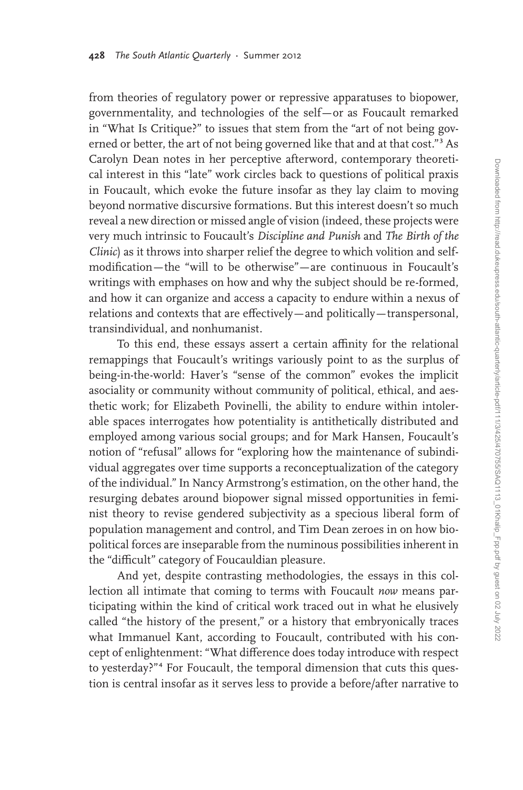from theories of regulatory power or repressive apparatuses to biopower, governmentality, and technologies of the self—or as Foucault remarked in "What Is Critique?" to issues that stem from the "art of not being governed or better, the art of not being governed like that and at that cost."<sup>3</sup> As Carolyn Dean notes in her perceptive afterword, contemporary theoretical interest in this "late" work circles back to questions of political praxis in Foucault, which evoke the future insofar as they lay claim to moving beyond normative discursive formations. But this interest doesn't so much reveal a new direction or missed angle of vision (indeed, these projects were very much intrinsic to Foucault's *Discipline and Punish* and *The Birth of the Clinic*) as it throws into sharper relief the degree to which volition and selfmodification—the "will to be otherwise"—are continuous in Foucault's writings with emphases on how and why the subject should be re-formed, and how it can organize and access a capacity to endure within a nexus of relations and contexts that are effectively—and politically—transpersonal, transindividual, and nonhumanist.

To this end, these essays assert a certain affinity for the relational remappings that Foucault's writings variously point to as the surplus of being-in-the-world: Haver's "sense of the common" evokes the implicit asociality or community without community of political, ethical, and aesthetic work; for Elizabeth Povinelli, the ability to endure within intolerable spaces interrogates how potentiality is antithetically distributed and employed among various social groups; and for Mark Hansen, Foucault's notion of "refusal" allows for "exploring how the maintenance of subindividual aggregates over time supports a reconceptualization of the category of the individual." In Nancy Armstrong's estimation, on the other hand, the resurging debates around biopower signal missed opportunities in feminist theory to revise gendered subjectivity as a specious liberal form of population management and control, and Tim Dean zeroes in on how biopolitical forces are inseparable from the numinous possibilities inherent in the "difficult" category of Foucauldian pleasure.

And yet, despite contrasting methodologies, the essays in this collection all intimate that coming to terms with Foucault *now* means participating within the kind of critical work traced out in what he elusively called "the history of the present," or a history that embryonically traces what Immanuel Kant, according to Foucault, contributed with his concept of enlightenment: "What difference does today introduce with respect to yesterday?"4 For Foucault, the temporal dimension that cuts this question is central insofar as it serves less to provide a before/after narrative to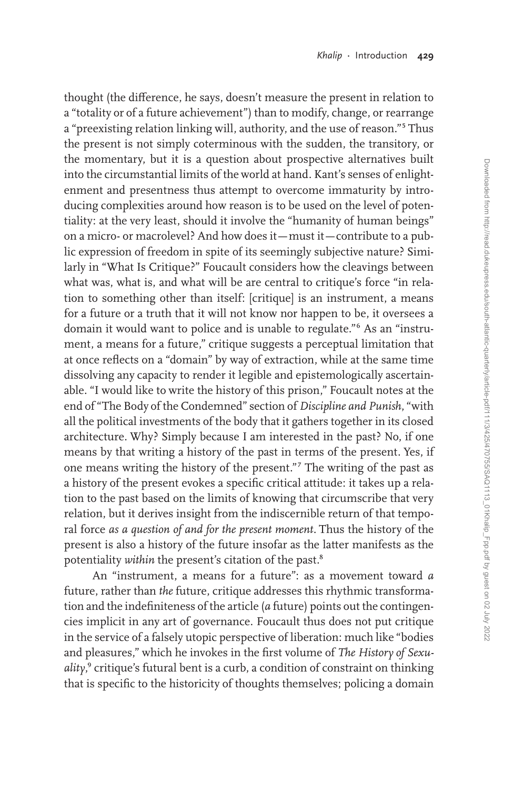thought (the difference, he says, doesn't measure the present in relation to a "totality or of a future achievement") than to modify, change, or rearrange a "preexisting relation linking will, authority, and the use of reason."5 Thus the present is not simply coterminous with the sudden, the transitory, or the momentary, but it is a question about prospective alternatives built into the circumstantial limits of the world at hand. Kant's senses of enlightenment and presentness thus attempt to overcome immaturity by introducing complexities around how reason is to be used on the level of potentiality: at the very least, should it involve the "humanity of human beings" on a micro- or macrolevel? And how does it—must it—contribute to a public expression of freedom in spite of its seemingly subjective nature? Similarly in "What Is Critique?" Foucault considers how the cleavings between what was, what is, and what will be are central to critique's force "in relation to something other than itself: [critique] is an instrument, a means for a future or a truth that it will not know nor happen to be, it oversees a domain it would want to police and is unable to regulate."6 As an "instrument, a means for a future," critique suggests a perceptual limitation that at once reflects on a "domain" by way of extraction, while at the same time dissolving any capacity to render it legible and epistemologically ascertainable. "I would like to write the history of this prison," Foucault notes at the end of "The Body of the Condemned" section of *Discipline and Punish*, "with all the political investments of the body that it gathers together in its closed architecture. Why? Simply because I am interested in the past? No, if one means by that writing a history of the past in terms of the present. Yes, if one means writing the history of the present."7 The writing of the past as a history of the present evokes a specific critical attitude: it takes up a relation to the past based on the limits of knowing that circumscribe that very relation, but it derives insight from the indiscernible return of that temporal force *as a question of and for the present moment*. Thus the history of the present is also a history of the future insofar as the latter manifests as the potentiality *within* the present's citation of the past.8

An "instrument, a means for a future": as a movement toward *a* future, rather than *the* future, critique addresses this rhythmic transformation and the indefiniteness of the article (*a* future) points out the contingencies implicit in any art of governance. Foucault thus does not put critique in the service of a falsely utopic perspective of liberation: much like "bodies and pleasures," which he invokes in the first volume of *The History of Sexuality*,9 critique's futural bent is a curb, a condition of constraint on thinking that is specific to the historicity of thoughts themselves; policing a domain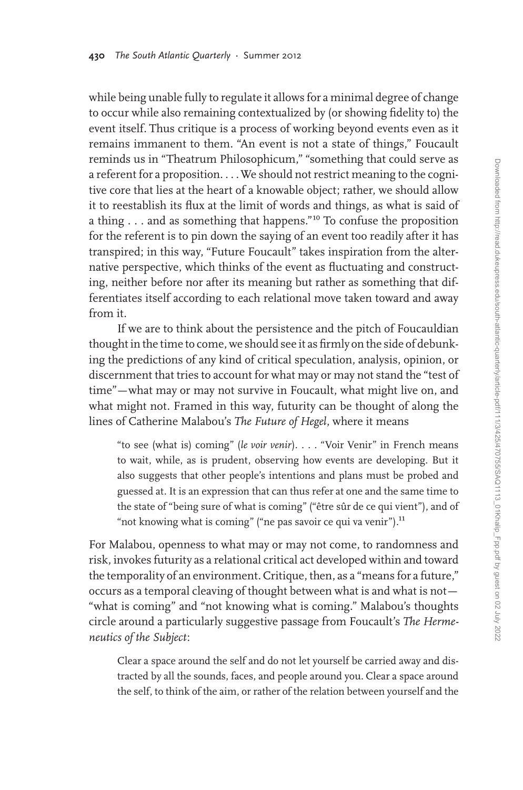while being unable fully to regulate it allows for a minimal degree of change to occur while also remaining contextualized by (or showing fidelity to) the event itself. Thus critique is a process of working beyond events even as it remains immanent to them. "An event is not a state of things," Foucault reminds us in "Theatrum Philosophicum," "something that could serve as a referent for a proposition. . . . We should not restrict meaning to the cognitive core that lies at the heart of a knowable object; rather, we should allow it to reestablish its flux at the limit of words and things, as what is said of a thing . . . and as something that happens."10 To confuse the proposition for the referent is to pin down the saying of an event too readily after it has transpired; in this way, "Future Foucault" takes inspiration from the alternative perspective, which thinks of the event as fluctuating and constructing, neither before nor after its meaning but rather as something that differentiates itself according to each relational move taken toward and away from it.

If we are to think about the persistence and the pitch of Foucauldian thought in the time to come, we should see it as firmly on the side of debunking the predictions of any kind of critical speculation, analysis, opinion, or discernment that tries to account for what may or may not stand the "test of time"—what may or may not survive in Foucault, what might live on, and what might not. Framed in this way, futurity can be thought of along the lines of Catherine Malabou's *The Future of Hegel*, where it means

"to see (what is) coming" (*le voir venir*). . . . "Voir Venir" in French means to wait, while, as is prudent, observing how events are developing. But it also suggests that other people's intentions and plans must be probed and guessed at. It is an expression that can thus refer at one and the same time to the state of "being sure of what is coming" ("être sûr de ce qui vient"), and of "not knowing what is coming" ("ne pas savoir ce qui va venir").<sup>11</sup>

For Malabou, openness to what may or may not come, to randomness and risk, invokes futurity as a relational critical act developed within and toward the temporality of an environment. Critique, then, as a "means for a future," occurs as a temporal cleaving of thought between what is and what is not— "what is coming" and "not knowing what is coming." Malabou's thoughts circle around a particularly suggestive passage from Foucault's *The Hermeneutics of the Subject*:

Clear a space around the self and do not let yourself be carried away and distracted by all the sounds, faces, and people around you. Clear a space around the self, to think of the aim, or rather of the relation between yourself and the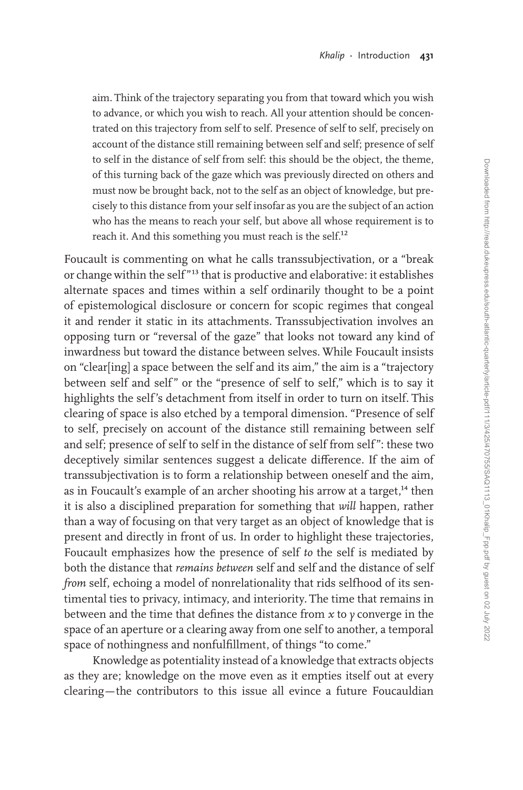aim. Think of the trajectory separating you from that toward which you wish to advance, or which you wish to reach. All your attention should be concentrated on this trajectory from self to self. Presence of self to self, precisely on account of the distance still remaining between self and self; presence of self to self in the distance of self from self: this should be the object, the theme, of this turning back of the gaze which was previously directed on others and must now be brought back, not to the self as an object of knowledge, but precisely to this distance from your self insofar as you are the subject of an action who has the means to reach your self, but above all whose requirement is to reach it. And this something you must reach is the self.<sup>12</sup>

Foucault is commenting on what he calls transsubjectivation, or a "break or change within the self<sup>"13</sup> that is productive and elaborative: it establishes alternate spaces and times within a self ordinarily thought to be a point of epistemological disclosure or concern for scopic regimes that congeal it and render it static in its attachments. Transsubjectivation involves an opposing turn or "reversal of the gaze" that looks not toward any kind of inwardness but toward the distance between selves. While Foucault insists on "clear[ing] a space between the self and its aim," the aim is a "trajectory between self and self" or the "presence of self to self," which is to say it highlights the self 's detachment from itself in order to turn on itself. This clearing of space is also etched by a temporal dimension. "Presence of self to self, precisely on account of the distance still remaining between self and self; presence of self to self in the distance of self from self ": these two deceptively similar sentences suggest a delicate difference. If the aim of transsubjectivation is to form a relationship between oneself and the aim, as in Foucault's example of an archer shooting his arrow at a target,<sup>14</sup> then it is also a disciplined preparation for something that *will* happen, rather than a way of focusing on that very target as an object of knowledge that is present and directly in front of us. In order to highlight these trajectories, Foucault emphasizes how the presence of self *to* the self is mediated by both the distance that *remains between* self and self and the distance of self *from* self, echoing a model of nonrelationality that rids selfhood of its sentimental ties to privacy, intimacy, and interiority. The time that remains in between and the time that defines the distance from *x* to *y* converge in the space of an aperture or a clearing away from one self to another, a temporal space of nothingness and nonfulfillment, of things "to come."

Knowledge as potentiality instead of a knowledge that extracts objects as they are; knowledge on the move even as it empties itself out at every clearing—the contributors to this issue all evince a future Foucauldian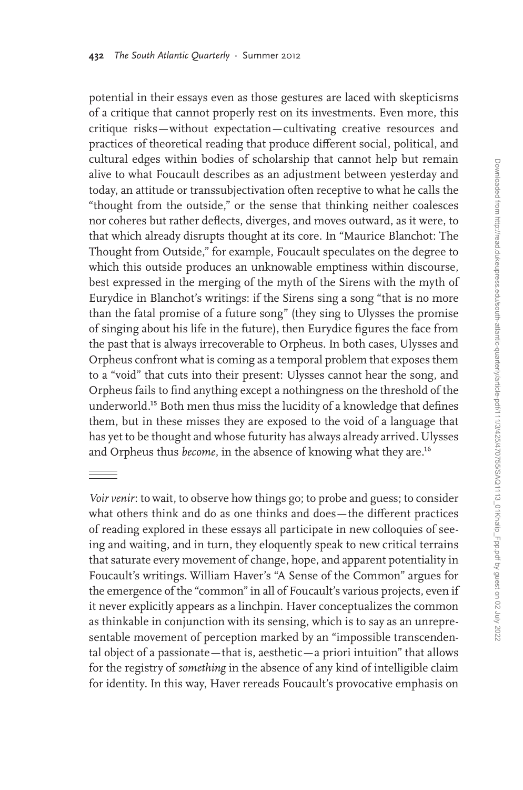potential in their essays even as those gestures are laced with skepticisms of a critique that cannot properly rest on its investments. Even more, this critique risks—without expectation—cultivating creative resources and practices of theoretical reading that produce different social, political, and cultural edges within bodies of scholarship that cannot help but remain alive to what Foucault describes as an adjustment between yesterday and today, an attitude or transsubjectivation often receptive to what he calls the "thought from the outside," or the sense that thinking neither coalesces nor coheres but rather deflects, diverges, and moves outward, as it were, to that which already disrupts thought at its core. In "Maurice Blanchot: The Thought from Outside," for example, Foucault speculates on the degree to which this outside produces an unknowable emptiness within discourse, best expressed in the merging of the myth of the Sirens with the myth of Eurydice in Blanchot's writings: if the Sirens sing a song "that is no more than the fatal promise of a future song" (they sing to Ulysses the promise of singing about his life in the future), then Eurydice figures the face from the past that is always irrecoverable to Orpheus. In both cases, Ulysses and Orpheus confront what is coming as a temporal problem that exposes them to a "void" that cuts into their present: Ulysses cannot hear the song, and Orpheus fails to find anything except a nothingness on the threshold of the underworld.15 Both men thus miss the lucidity of a knowledge that defines them, but in these misses they are exposed to the void of a language that has yet to be thought and whose futurity has always already arrived. Ulysses and Orpheus thus *become*, in the absence of knowing what they are.<sup>16</sup>

*Voir venir*: to wait, to observe how things go; to probe and guess; to consider what others think and do as one thinks and does—the different practices of reading explored in these essays all participate in new colloquies of seeing and waiting, and in turn, they eloquently speak to new critical terrains that saturate every movement of change, hope, and apparent potentiality in Foucault's writings. William Haver's "A Sense of the Common" argues for the emergence of the "common" in all of Foucault's various projects, even if it never explicitly appears as a linchpin. Haver conceptualizes the common as thinkable in conjunction with its sensing, which is to say as an unrepresentable movement of perception marked by an "impossible transcendental object of a passionate—that is, aesthetic—a priori intuition" that allows for the registry of *something* in the absence of any kind of intelligible claim for identity. In this way, Haver rereads Foucault's provocative emphasis on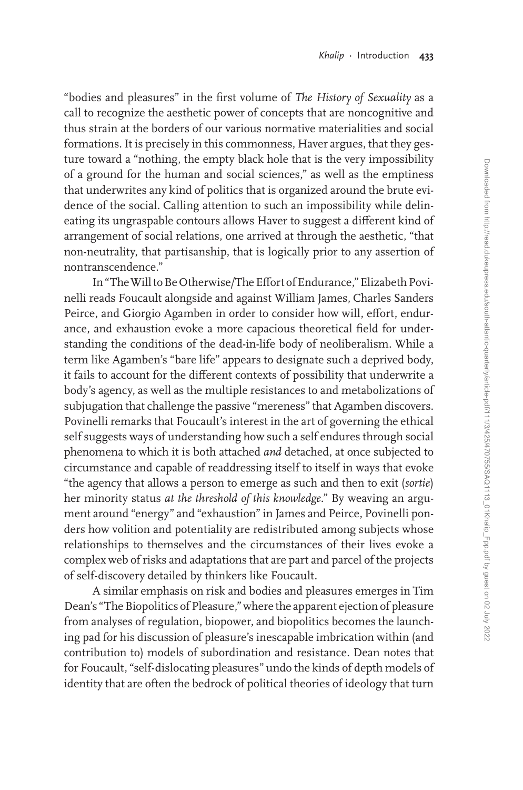"bodies and pleasures" in the first volume of *The History of Sexuality* as a call to recognize the aesthetic power of concepts that are noncognitive and thus strain at the borders of our various normative materialities and social formations. It is precisely in this commonness, Haver argues, that they gesture toward a "nothing, the empty black hole that is the very impossibility of a ground for the human and social sciences," as well as the emptiness that underwrites any kind of politics that is organized around the brute evidence of the social. Calling attention to such an impossibility while delineating its ungraspable contours allows Haver to suggest a different kind of arrangement of social relations, one arrived at through the aesthetic, "that non-neutrality, that partisanship, that is logically prior to any assertion of nontranscendence."

In "The Will to Be Otherwise/The Effort of Endurance," Elizabeth Povinelli reads Foucault alongside and against William James, Charles Sanders Peirce, and Giorgio Agamben in order to consider how will, effort, endurance, and exhaustion evoke a more capacious theoretical field for understanding the conditions of the dead-in-life body of neoliberalism. While a term like Agamben's "bare life" appears to designate such a deprived body, it fails to account for the different contexts of possibility that underwrite a body's agency, as well as the multiple resistances to and metabolizations of subjugation that challenge the passive "mereness" that Agamben discovers. Povinelli remarks that Foucault's interest in the art of governing the ethical self suggests ways of understanding how such a self endures through social phenomena to which it is both attached *and* detached, at once subjected to circumstance and capable of readdressing itself to itself in ways that evoke "the agency that allows a person to emerge as such and then to exit (*sortie*) her minority status *at the threshold of this knowledge*." By weaving an argument around "energy" and "exhaustion" in James and Peirce, Povinelli ponders how volition and potentiality are redistributed among subjects whose relationships to themselves and the circumstances of their lives evoke a complex web of risks and adaptations that are part and parcel of the projects of self-discovery detailed by thinkers like Foucault.

A similar emphasis on risk and bodies and pleasures emerges in Tim Dean's "The Biopolitics of Pleasure," where the apparent ejection of pleasure from analyses of regulation, biopower, and biopolitics becomes the launching pad for his discussion of pleasure's inescapable imbrication within (and contribution to) models of subordination and resistance. Dean notes that for Foucault, "self-dislocating pleasures" undo the kinds of depth models of identity that are often the bedrock of political theories of ideology that turn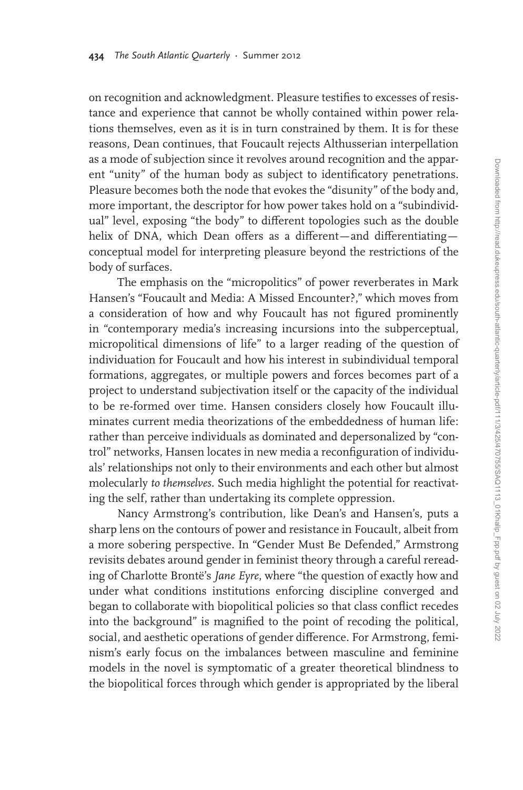on recognition and acknowledgment. Pleasure testifies to excesses of resistance and experience that cannot be wholly contained within power relations themselves, even as it is in turn constrained by them. It is for these reasons, Dean continues, that Foucault rejects Althusserian interpellation as a mode of subjection since it revolves around recognition and the apparent "unity" of the human body as subject to identificatory penetrations. Pleasure becomes both the node that evokes the "disunity" of the body and, more important, the descriptor for how power takes hold on a "subindividual" level, exposing "the body" to different topologies such as the double helix of DNA, which Dean offers as a different-and differentiatingconceptual model for interpreting pleasure beyond the restrictions of the body of surfaces.

The emphasis on the "micropolitics" of power reverberates in Mark Hansen's "Foucault and Media: A Missed Encounter?," which moves from a consideration of how and why Foucault has not figured prominently in "contemporary media's increasing incursions into the subperceptual, micropolitical dimensions of life" to a larger reading of the question of individuation for Foucault and how his interest in subindividual temporal formations, aggregates, or multiple powers and forces becomes part of a project to understand subjectivation itself or the capacity of the individual to be re-formed over time. Hansen considers closely how Foucault illuminates current media theorizations of the embeddedness of human life: rather than perceive individuals as dominated and depersonalized by "control" networks, Hansen locates in new media a reconfiguration of individuals' relationships not only to their environments and each other but almost molecularly *to themselves*. Such media highlight the potential for reactivating the self, rather than undertaking its complete oppression.

Nancy Armstrong's contribution, like Dean's and Hansen's, puts a sharp lens on the contours of power and resistance in Foucault, albeit from a more sobering perspective. In "Gender Must Be Defended," Armstrong revisits debates around gender in feminist theory through a careful rereading of Charlotte Brontë's *Jane Eyre*, where "the question of exactly how and under what conditions institutions enforcing discipline converged and began to collaborate with biopolitical policies so that class conflict recedes into the background" is magnified to the point of recoding the political, social, and aesthetic operations of gender difference. For Armstrong, feminism's early focus on the imbalances between masculine and feminine models in the novel is symptomatic of a greater theoretical blindness to the biopolitical forces through which gender is appropriated by the liberal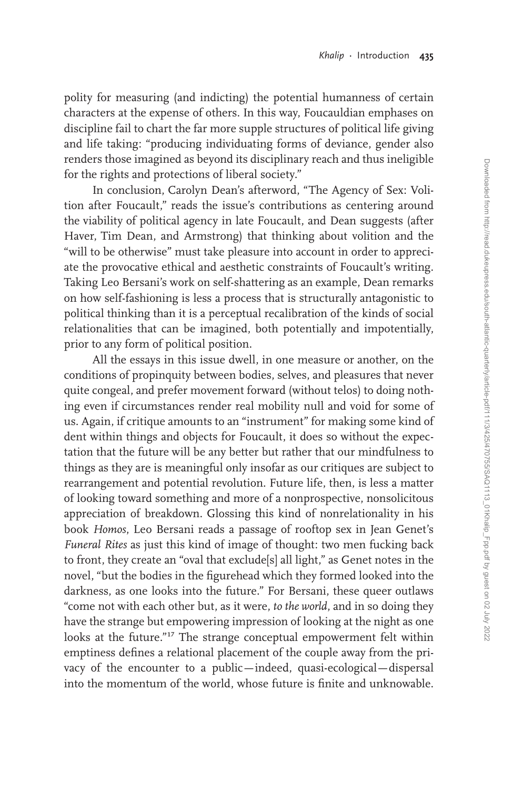polity for measuring (and indicting) the potential humanness of certain characters at the expense of others. In this way, Foucauldian emphases on discipline fail to chart the far more supple structures of political life giving and life taking: "producing individuating forms of deviance, gender also renders those imagined as beyond its disciplinary reach and thus ineligible for the rights and protections of liberal society."

In conclusion, Carolyn Dean's afterword, "The Agency of Sex: Volition after Foucault," reads the issue's contributions as centering around the viability of political agency in late Foucault, and Dean suggests (after Haver, Tim Dean, and Armstrong) that thinking about volition and the "will to be otherwise" must take pleasure into account in order to appreciate the provocative ethical and aesthetic constraints of Foucault's writing. Taking Leo Bersani's work on self-shattering as an example, Dean remarks on how self-fashioning is less a process that is structurally antagonistic to political thinking than it is a perceptual recalibration of the kinds of social relationalities that can be imagined, both potentially and impotentially, prior to any form of political position.

All the essays in this issue dwell, in one measure or another, on the conditions of propinquity between bodies, selves, and pleasures that never quite congeal, and prefer movement forward (without telos) to doing nothing even if circumstances render real mobility null and void for some of us. Again, if critique amounts to an "instrument" for making some kind of dent within things and objects for Foucault, it does so without the expectation that the future will be any better but rather that our mindfulness to things as they are is meaningful only insofar as our critiques are subject to rearrangement and potential revolution. Future life, then, is less a matter of looking toward something and more of a nonprospective, nonsolicitous appreciation of breakdown. Glossing this kind of nonrelationality in his book *Homos*, Leo Bersani reads a passage of rooftop sex in Jean Genet's *Funeral Rites* as just this kind of image of thought: two men fucking back to front, they create an "oval that exclude[s] all light," as Genet notes in the novel, "but the bodies in the figurehead which they formed looked into the darkness, as one looks into the future." For Bersani, these queer outlaws "come not with each other but, as it were, *to the world*, and in so doing they have the strange but empowering impression of looking at the night as one looks at the future."<sup>17</sup> The strange conceptual empowerment felt within emptiness defines a relational placement of the couple away from the privacy of the encounter to a public—indeed, quasi-ecological—dispersal into the momentum of the world, whose future is finite and unknowable.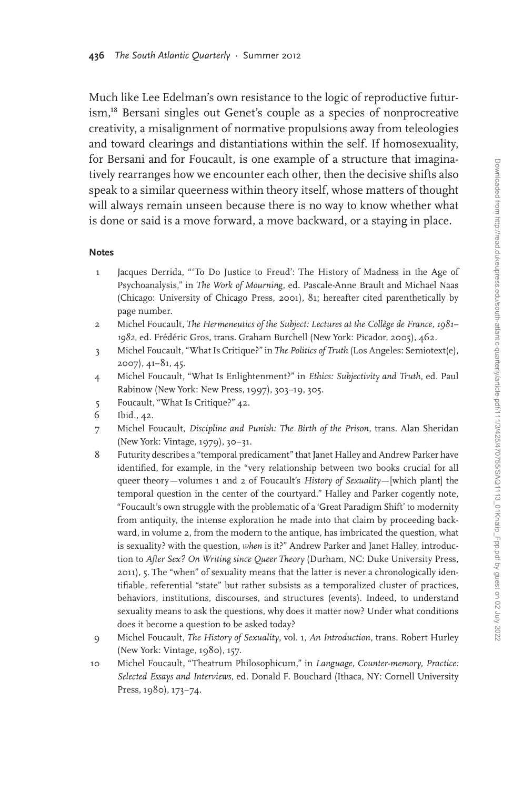Much like Lee Edelman's own resistance to the logic of reproductive futurism,18 Bersani singles out Genet's couple as a species of nonprocreative creativity, a misalignment of normative propulsions away from teleologies and toward clearings and distantiations within the self. If homosexuality, for Bersani and for Foucault, is one example of a structure that imaginatively rearranges how we encounter each other, then the decisive shifts also speak to a similar queerness within theory itself, whose matters of thought will always remain unseen because there is no way to know whether what is done or said is a move forward, a move backward, or a staying in place.

## **Notes**

- 1 Jacques Derrida, "'To Do Justice to Freud': The History of Madness in the Age of Psychoanalysis," in *The Work of Mourning*, ed. Pascale-Anne Brault and Michael Naas (Chicago: University of Chicago Press, 2001), 81; hereafter cited parenthetically by page number.
- 2 Michel Foucault, *The Hermeneutics of the Subject: Lectures at the Collège de France, 1981– 1982*, ed. Frédéric Gros, trans. Graham Burchell (New York: Picador, 2005), 462.
- 3 Michel Foucault, "What Is Critique?" in *The Politics of Truth* (Los Angeles: Semiotext(e), 2007), 41–81, 45.
- 4 Michel Foucault, "What Is Enlightenment?" in *Ethics: Subjectivity and Truth*, ed. Paul Rabinow (New York: New Press, 1997), 303–19, 305.
- 5 Foucault, "What Is Critique?" 42.
- 6 Ibid., 42.
- 7 Michel Foucault, *Discipline and Punish: The Birth of the Prison*, trans. Alan Sheridan (New York: Vintage, 1979), 30–31.
- 8 Futurity describes a "temporal predicament" that Janet Halley and Andrew Parker have identified, for example, in the "very relationship between two books crucial for all queer theory—volumes 1 and 2 of Foucault's *History of Sexuality*—[which plant] the temporal question in the center of the courtyard." Halley and Parker cogently note, "Foucault's own struggle with the problematic of a 'Great Paradigm Shift' to modernity from antiquity, the intense exploration he made into that claim by proceeding backward, in volume 2, from the modern to the antique, has imbricated the question, what is sexuality? with the question, *when* is it?" Andrew Parker and Janet Halley, introduction to *After Sex? On Writing since Queer Theory* (Durham, NC: Duke University Press, 2011), 5. The "when" of sexuality means that the latter is never a chronologically identifiable, referential "state" but rather subsists as a temporalized cluster of practices, behaviors, institutions, discourses, and structures (events). Indeed, to understand sexuality means to ask the questions, why does it matter now? Under what conditions does it become a question to be asked today?
- 9 Michel Foucault, *The History of Sexuality*, vol. 1, *An Introduction*, trans. Robert Hurley (New York: Vintage, 1980), 157.
- 10 Michel Foucault, "Theatrum Philosophicum," in *Language, Counter-memory, Practice: Selected Essays and Interviews*, ed. Donald F. Bouchard (Ithaca, NY: Cornell University Press, 1980), 173–74.